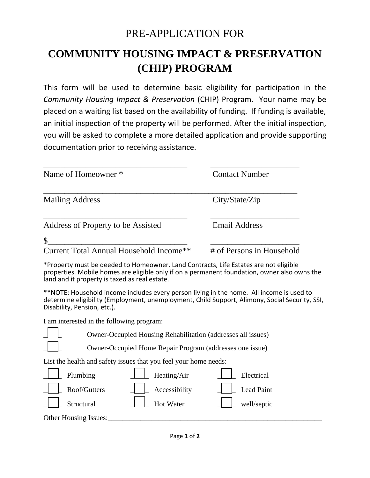## PRE-APPLICATION FOR

## **COMMUNITY HOUSING IMPACT & PRESERVATION (CHIP) PROGRAM**

This form will be used to determine basic eligibility for participation in the *Community Housing Impact & Preservation* (CHIP) Program. Your name may be placed on a waiting list based on the availability of funding. If funding is available, an initial inspection of the property will be performed. After the initial inspection, you will be asked to complete a more detailed application and provide supporting documentation prior to receiving assistance.

| Name of Homeowner *                           | <b>Contact Number</b>     |
|-----------------------------------------------|---------------------------|
| <b>Mailing Address</b>                        | City/State/Zip            |
| Address of Property to be Assisted            | <b>Email Address</b>      |
| \$<br>Current Total Annual Household Income** | # of Persons in Household |

\*Property must be deeded to Homeowner. Land Contracts, Life Estates are not eligible properties. Mobile homes are eligible only if on a permanent foundation, owner also owns the land and it property is taxed as real estate.

\*\*NOTE: Household income includes every person living in the home. All income is used to determine eligibility (Employment, unemployment, Child Support, Alimony, Social Security, SSI, Disability, Pension, etc.).

I am interested in the following program:

\_\_\_\_\_ Owner-Occupied Housing Rehabilitation (addresses all issues)

\_\_\_\_\_ Owner-Occupied Home Repair Program (addresses one issue)

List the health and safety issues that you feel your home needs:

| Plumbing              | Heating/Air            | Electrical  |  |
|-----------------------|------------------------|-------------|--|
| Roof/Gutters          | $\angle$ Accessibility | Lead Paint  |  |
| Structural            | <b>Hot Water</b>       | well/septic |  |
| Other Housing Issues: |                        |             |  |